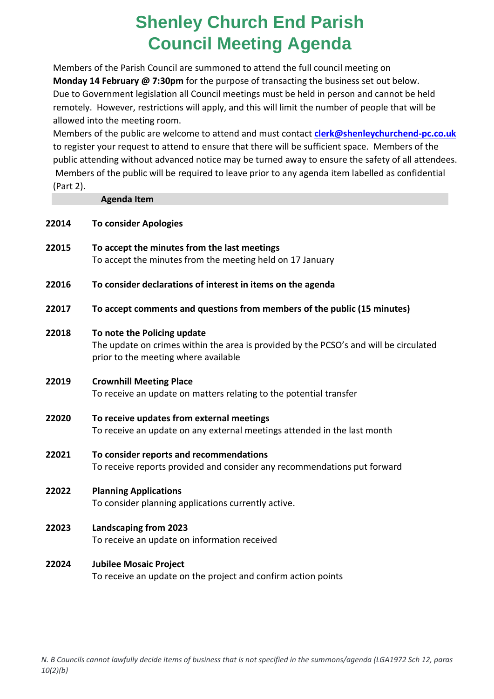## **Shenley Church End Parish Council Meeting Agenda**

Members of the Parish Council are summoned to attend the full council meeting on **Monday 14 February @ 7:30pm** for the purpose of transacting the business set out below. Due to Government legislation all Council meetings must be held in person and cannot be held remotely. However, restrictions will apply, and this will limit the number of people that will be allowed into the meeting room.

Members of the public are welcome to attend and must contact **[clerk@shenleychurchend-pc.co.uk](mailto:clerk@shenleychurchend-pc.co.uk)** to register your request to attend to ensure that there will be sufficient space. Members of the public attending without advanced notice may be turned away to ensure the safety of all attendees. Members of the public will be required to leave prior to any agenda item labelled as confidential (Part 2).

|       | <b>Agenda Item</b>                                                                                                                                           |
|-------|--------------------------------------------------------------------------------------------------------------------------------------------------------------|
| 22014 | <b>To consider Apologies</b>                                                                                                                                 |
| 22015 | To accept the minutes from the last meetings<br>To accept the minutes from the meeting held on 17 January                                                    |
| 22016 | To consider declarations of interest in items on the agenda                                                                                                  |
| 22017 | To accept comments and questions from members of the public (15 minutes)                                                                                     |
| 22018 | To note the Policing update<br>The update on crimes within the area is provided by the PCSO's and will be circulated<br>prior to the meeting where available |
| 22019 | <b>Crownhill Meeting Place</b><br>To receive an update on matters relating to the potential transfer                                                         |
| 22020 | To receive updates from external meetings<br>To receive an update on any external meetings attended in the last month                                        |
| 22021 | To consider reports and recommendations<br>To receive reports provided and consider any recommendations put forward                                          |
| 22022 | <b>Planning Applications</b><br>To consider planning applications currently active.                                                                          |
| 22023 | <b>Landscaping from 2023</b><br>To receive an update on information received                                                                                 |
| 22024 | <b>Jubilee Mosaic Project</b><br>To receive an update on the project and confirm action points                                                               |